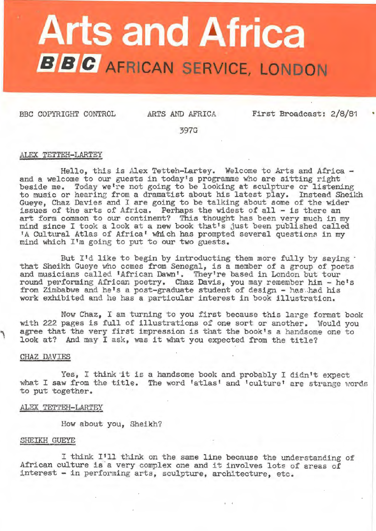# **Arts and Africa B B C** AFRICAN SERVICE, LONDON

BBC COPYRIGHT CONTROL

ARTS AND AFRICA

First Broadcast: 2/8/81

•

397G

# ALEX TETTEH-LARTEY

Hello, this is Alex Tetteh-Lartey. Welcome to Arts and Africa - and a welcome to our guests in today's programme who are sitting right beside me. Today we're not going to be looking at sculpture or listening to music or hearing from a dramatist about his latest play. Instead Sheikh Gueye, Chaz Davies and I are going to be talking about some of the wider issues of the arts of Africa. Perhaps the widest of all - is there an art form common to our continent? This thought has been very much in my mind since I took a look at a new book that's just been published called "A Cultural Atlas of Africa' which has prompted several questions in my mind which I'm going to put to our two guests.

But I'd like to begin by introducting them more fully by saying . that Sheikh Gueye who comes from Senegal, is a member of a group of poets and musicians called 'African Dawn'. They're based in London but tour round performing African poetry. Chaz Davis, you may remember him - he's from Zimbabwe and he's a post-graduate student of design - has had his work exhibited and he has a particular interest in book illustration.

Now Chaz, I am turning to you first because this large format book with 222 pages is full of illustrations of one sort or another. Would you agree that the very first impression is that the book's a handsome one to look at? And may I ask, was it what you expected from the title?

# CHAZ DAVIES

Yes, I think it is a handsome book and probably I didn't expect what I saw from the title. The word 'atlas' and 'culture' are strange words to put together.

ALEX TETTEH-LARTEY

How about you, Sheikh?

# SHEIKH GUEYE

I think I'll think on the same line because the understanding of African culture is a very complex one and *it* involves lote of areas of interest - in performing arts, sculpture, architecture, etc.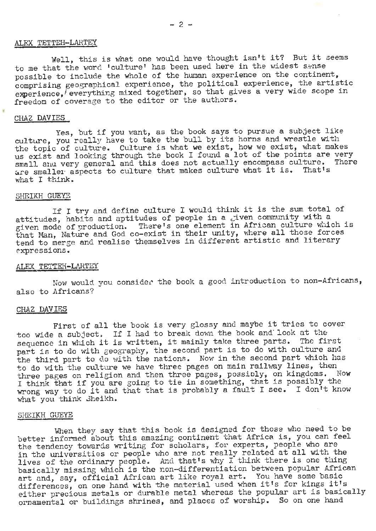# ALEX TETTEH-LARTEY

Well, this is what one would have thought isn't it? But it seems to me that the word 'culture' has been used here in the widest sense possible to include the whole of the human experience on the continent, comprising geographical experience, the political experience, the artistic experience, everything mixed together, so that gives a very wide scope in freedom of coverage to the editor or the authors.

# CHAZ DAVIES

Yes. but if you want, as the book says to pursue a subject like culture, you really have to take the bull by its horns and wrestle with the topic of culture. Culture is what we exist, how we exist, what makes us exist and looking through the book I found a lot of the points are very small and very general and this does not actually encompass culture. There are smaller aspects to culture that makes culture what it is. That's what I think.

#### SHEIKH GUEYE

If I try and define culture I would think it is the sum total of attitudes, habits and aptitudes of people in a given community with a given mode of production. There's one element in African culture which is that Man, Nature and God co-exist in their unity, where all those forces tend to merge and realise themselves in different artistic and literary expressions.

# ALEX TETTEH-LARTEY

Now would you consider the book a good introduction to non-Africans, also to Africans?

# CHAZ DAVIES

First of all the book is very glossy and maybe it tries to cover too wide a subject. If I had to break down the book and look at the sequence in which it is written, it mainly take three parts. The first part is to do with geography, the second part is to do with culture and the third part to do with the nations. Now in the second part which has to do with the culture we have three pages on main railway lines, then three pages on religion and then three pages, possibly, on kingdoms. Now I think that if you are going to tie in something, that is possibly the wrong way to do it and that that is probably a fault I see. I don't know what you think Sheikh.

# SHEIKH GUEYE

When they say that this book is designed for those who need to be better informed about this amazing continent that Africa is, you can feel the tendency towards writing for scholars, for experts, people who are in the universities or people who are not really related at all with the lives of the ordinary people. And that's why I think there is one thing basically missing which is the non-differentiation between popular African art and, say, official African art like royal art. You have some basic differences, on one hand with the material used when it's for kings it's either precious metals or durable metal whereas the popular art is basically ornamental or buildings shrines, and places of worship. So on one hand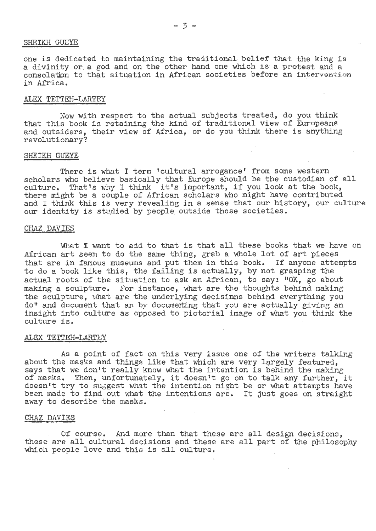# SHEIKH GUEYE

one is dedicated to maintaining the traditional beliet that the king is a divinity or a god and on the other hand one which is a protest and a consolation to that situation *in* African societies before an intervantion in Africa.

# ALEX TETTEH-LARTEY

Now with respect to the actual subjects treated, do you think that this book is retaining the kind of traditional view of Europeans and outsiders, their view of Africa, or do you think there is anything revolutionary?

# SHEIKH GUEYE

There is what I term 'cultural arrogance' from some western scholars who believe basically that Europe should be the custodian of all scholars who believe basically that Europe should be the customian of the culture. That's why I think it's important, if you look at the book, there might be a couple of African scholars who might have contributed and I think this is very revealing in a sense that our history, our culture our identity is studied by people outside those societies.

#### CHAZ DAVIES

What I want to add to that is that all these books that we have on African art seem to do the same thing, grab a whole lot of art pieces that are *in* famous museums and put them in this book. If anyone attempts to do a book like this, the failing is actually, by not grasping the actual roots of the situation to ask an African, to say: "OK, go about making a sculpture. For instance, what are the thoughts behind making the sculpture, what are the underlying decisinns behind everything you do" and document that an by documerting that you are actually giving an insight into culture as opposed to pictorial image of what you think the culture is.

# ALEX TETTEH-LARTEY

As a point of fact on this very issue one of the writers talking about the masks and things like that which are very largely featured. says that we don't really know what the intention is behind the making says that we don't really know what the intention is benind the making<br>of masks. Then, unfortunately, it doesn't go on to talk any further, it doesn't try to suggest what the intention might be or what attempts have been made to find out what the intentions are. It just goes on straight away to describe the masks.

# CHAZ DAVIES

Of course. And more than that these are all design decisions, these are all cultural decisions and these are all part 0£ the philosophy which people love and this is all culture.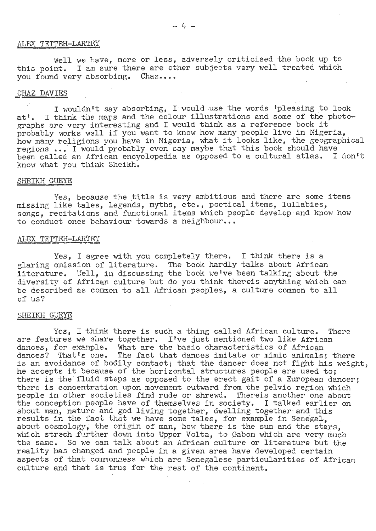# ALEX TETTEH-LARTEY

Well we have, more or less, adversely criticised the book up to this point. I am sure there are other subjects very well treated which vou found very absorbing. Chaz....

# CHAZ DAVIES

I wouldn't say absorbing, I would use the words 'pleasing to look at'. I think the maps and the colour illustrations and some of the photographs are very interesting and I would think as a reference book it probably works well if you want to know how many people live in Nigeria, how many religions you have in Nigeria, what it looks like, the geographical regions ••• I would probably even say maybe that this book should have been called an African encyclopedia as opposed to a cultural atlas. I don't know what you think Sheikh.

# SHEIKH GUEYE

Yes, because the title is very ambitious and there are some items missing like tales, legends, myths, etc., poetical items, lullabies, songs. recitations and functional items which people develop and know how to conduct ones behaviour towards a neighbour...

# ALEX TETTEH-LARTEY

Yes, I agree with you completely there. I think there is a glaring omission of literature. The bool< hardly talks about African literature. Well, in discussing the book we've been talking about the diversity of African culture but do you think thereis anything which can be described as common to all African peoples, a culture common to all of us?

# SHEIKH GUEYE

Yes, I think there is such a thing called African culture. There are features we share together. I've just mentioned two like African dances, for example. What are the basic characteristics of African dances? That's one. The fact that dances imitate or mimic animals; there is an avoidance of bodily contact; that the dancer does not fight his weight, he accepts it because of the horizontal structures people are used to; there is the fluid steps as opposed to the erect gait of a European dancer; there is concentration upon movement outward from the pelvic region which people in other societies find rude or shrewd. Thereis another one about the conception people have of themselves in society. I talked earlier on about man, nature and god living together, dwelling together and this results in the fact that we have some tales, for example in Senegal, about cosmology, the origin of man, how there is the sun and the stars. which strech .further down into Upper Volta, to Gabon which are very much the same. So we can talk about an African culture or literature but the reality has changed and people in a given area have developed certain aspects of that commonness which are Senegalese particularities of African culture and that is true for the rest of the continent.